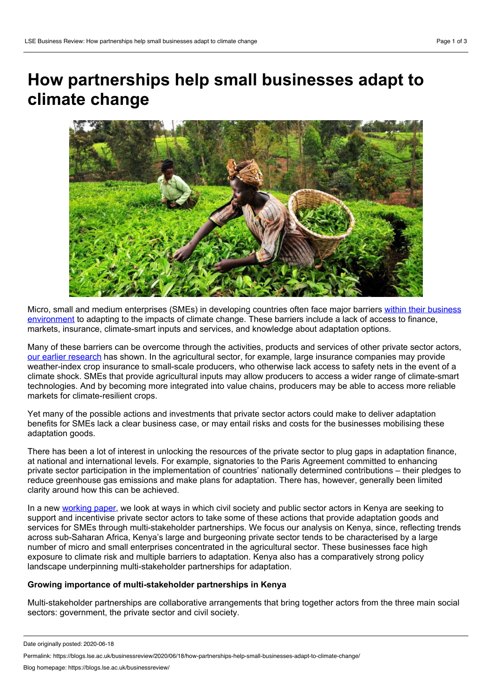# **How partnerships help small businesses adapt to climate change**



Micro, small and medium enterprises (SMEs) in developing countries often face major barriers within their business [environment](http://www.lse.ac.uk/GranthamInstitute/publication/enabling-private-sector-adaptation-climate-change-sub-saharan-africa/) to adapting to the impacts of climate change. These barriers include a lack of access to finance, markets, insurance, climate-smart inputs and services, and knowledge about adaptation options.

Many of these barriers can be overcome through the activities, products and services of other private sector actors, our earlier [research](https://www.cambridge.org/core/journals/global-sustainability/article/private-adaptation-in-semiarid-lands-a-tailored-approach-to-leave-no-one-behind/7137A87952EF66840C1AE86A7E3D1D07) has shown. In the agricultural sector, for example, large insurance companies may provide weather-index crop insurance to small-scale producers, who otherwise lack access to safety nets in the event of a climate shock. SMEs that provide agricultural inputs may allow producers to access a wider range of climate-smart technologies. And by becoming more integrated into value chains, producers may be able to access more reliable markets for climate-resilient crops.

Yet many of the possible actions and investments that private sector actors could make to deliver adaptation benefits for SMEs lack a clear business case, or may entail risks and costs for the businesses mobilising these adaptation goods.

There has been a lot of interest in unlocking the resources of the private sector to plug gaps in adaptation finance, at national and international levels. For example, signatories to the Paris Agreement committed to enhancing private sector participation in the implementation of countries' nationally determined contributions – their pledges to reduce greenhouse gas emissions and make plans for adaptation. There has, however, generally been limited clarity around how this can be achieved.

In a new [working](http://www.lse.ac.uk/GranthamInstitute/publication/enabling-private-sector-adaptation-to-climate-change-among-small-businesses-in-developing-countries) paper, we look at ways in which civil society and public sector actors in Kenya are seeking to support and incentivise private sector actors to take some of these actions that provide adaptation goods and services for SMEs through multi-stakeholder partnerships. We focus our analysis on Kenya, since, reflecting trends across sub-Saharan Africa, Kenya's large and burgeoning private sector tends to be characterised by a large number of micro and small enterprises concentrated in the agricultural sector. These businesses face high exposure to climate risk and multiple barriers to adaptation. Kenya also has a comparatively strong policy landscape underpinning multi-stakeholder partnerships for adaptation.

# **Growing importance of multi-stakeholder partnerships in Kenya**

Multi-stakeholder partnerships are collaborative arrangements that bring together actors from the three main social sectors: government, the private sector and civil society.

Date originally posted: 2020-06-18

Permalink: https://blogs.lse.ac.uk/businessreview/2020/06/18/how-partnerships-help-small-businesses-adapt-to-climate-change/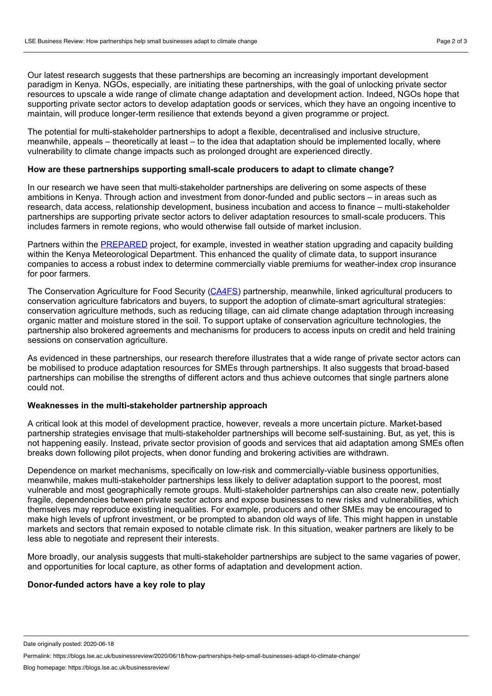Our latest research suggests that these partnerships are becoming an increasingly important development paradigm in Kenya. NGOs, especially, are initiating these partnerships, with the goal of unlocking private sector resources to upscale a wide range of climate change adaptation and development action. Indeed, NGOs hope that supporting private sector actors to develop adaptation goods or services, which they have an ongoing incentive to maintain, will produce longer-term resilience that extends beyond a given programme or project.

The potential for multi-stakeholder partnerships to adopt a flexible, decentralised and inclusive structure, meanwhile, appeals – theoretically at least – to the idea that adaptation should be implemented locally, where vulnerability to climate change impacts such as prolonged drought are experienced directly.

### **How are these partnerships supporting small-scale producers to adapt to climate change?**

In our research we have seen that multi-stakeholder partnerships are delivering on some aspects of these ambitions in Kenya. Through action and investment from donor-funded and public sectors – in areas such as research, data access, relationship development, business incubation and access to finance – multi-stakeholder partnerships are supporting private sector actors to deliver adaptation resources to small-scale producers. This includes farmers in remote regions, who would otherwise fall outside of market inclusion.

Partners within the [PREPARED](https://www.tetratech.com/en/projects/planning-for-resilience-and-sustainability-in-east-africa) project, for example, invested in weather station upgrading and capacity building within the Kenya Meteorological Department. This enhanced the quality of climate data, to support insurance companies to access a robust index to determine commercially viable premiums for weather-index crop insurance for poor farmers.

The Conservation Agriculture for Food Security [\(CA4FS\)](https://www.act-africa.org/file/newsletters/act/ACTNewsletter-conservation-agriculture-for-food-security.pdf) partnership, meanwhile, linked agricultural producers to conservation agriculture fabricators and buyers, to support the adoption of climate-smart agricultural strategies: conservation agriculture methods, such as reducing tillage, can aid climate change adaptation through increasing organic matter and moisture stored in the soil. To support uptake of conservation agriculture technologies, the partnership also brokered agreements and mechanisms for producers to access inputs on credit and held training sessions on conservation agriculture.

As evidenced in these partnerships, our research therefore illustrates that a wide range of private sector actors can be mobilised to produce adaptation resources for SMEs through partnerships. It also suggests that broad-based partnerships can mobilise the strengths of different actors and thus achieve outcomes that single partners alone could not.

# **Weaknesses in the multi-stakeholder partnership approach**

A critical look at this model of development practice, however, reveals a more uncertain picture. Market-based partnership strategies envisage that multi-stakeholder partnerships will become self-sustaining. But, as yet, this is not happening easily. Instead, private sector provision of goods and services that aid adaptation among SMEs often breaks down following pilot projects, when donor funding and brokering activities are withdrawn.

Dependence on market mechanisms, specifically on low-risk and commercially-viable business opportunities, meanwhile, makes multi-stakeholder partnerships less likely to deliver adaptation support to the poorest, most vulnerable and most geographically remote groups. Multi-stakeholder partnerships can also create new, potentially fragile, dependencies between private sector actors and expose businesses to new risks and vulnerabilities, which themselves may reproduce existing inequalities. For example, producers and other SMEs may be encouraged to make high levels of upfront investment, or be prompted to abandon old ways of life. This might happen in unstable markets and sectors that remain exposed to notable climate risk. In this situation, weaker partners are likely to be less able to negotiate and represent their interests.

More broadly, our analysis suggests that multi-stakeholder partnerships are subject to the same vagaries of power, and opportunities for local capture, as other forms of adaptation and development action.

#### **Donor-funded actors have a key role to play**

Date originally posted: 2020-06-18

Permalink: https://blogs.lse.ac.uk/businessreview/2020/06/18/how-partnerships-help-small-businesses-adapt-to-climate-change/